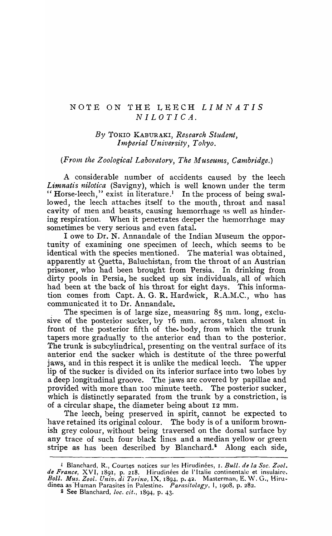## NOTE ON THE LEECH *LIMNATIS NILOTICA.*

## *By* TOKIO KABURAKI, *Research Student, Imperial University, Tokyo.*

## *(From the Zoological Laboratory, The Museums, Cambridge.)*

A considerable number of accidents caused by the leech Limnatis nilotica (Savigny), which is well known under the term "Horse-leech," exist in literature.<sup>1</sup> In the process of being swallowed, the leech attaches itself to the mouth, throat and nasal cavity of men and beasts, causing hæmorrhage as well as hindering respiration. When it penetrates deeper the hæmorrhage may sometimes be very serious and even fatal.

I owe to Dr. N. Annandale of the Indian Museum the opportunity of examining one specimen of leech, which seems to be identical with the species mentioned. The material was obtained, apparently at Quetta, Baluchistan, from the throat of an Austrian prisoner, who had been brought from Persia. In drinking from dirty pools in Persia, he sucked up six individuals, all of which had been at the back of his throat for eight days. This information comes from Capt. A. G. R. Hardwick, R.A.M.C., who has communicated it to Dr. Annandale.

The specimen is of large size, measuring 85 mm. long, exclusive of the posterior sucker, by 16 mm. across, taken almost in front of the posterior fifth of the. body, from which the trunk tapers more gradually to the anterior end than to the posterior. The trunk is subcylindrical, presenting on the ventral surface of its anterior end the sucker which is destitute of the three powerful jaws, and in this respect it is unlike the medical leech. The upper lip of the sucker is divided on its inferior surface into two lobes by a deep longitudinal groove. The jaws are covered by papillae and provided with more than 100 minute teeth. The posterior sucker, which is distinctly separated from the trunk by a constriction, is of a circular shape, the diameter being about 12 mm.

The leech, being preserved in spirit, cannot be expected to have retained its original colour. The body is of a uniform brownish grey colonr, without being traversed on the dorsal surface by any trace of such four black lines and a median yellow or green stripe as has been described by Blanchard. $^2$  Along each side,

<sup>&</sup>lt;sup>1</sup> Blanchard, R., Courtes notices sur les Hirudinées, 1. *Bull. de la Soc. Zool.* de France, XVI, 1891, p. 218. Hirudinées de l'Italie continentale et insulaire. *Boll. Mus. Zool. Univ. di Torino,* IX, 1894, p. 42. Masterman, E. W. G., Hirudinea as Human Parasites in Palestine. *Parasitology*, I, 1908, p. 282.

<sup>&</sup>lt;sup>2</sup> See Blanchard, *loc. cit.*, 1894, p. 43.